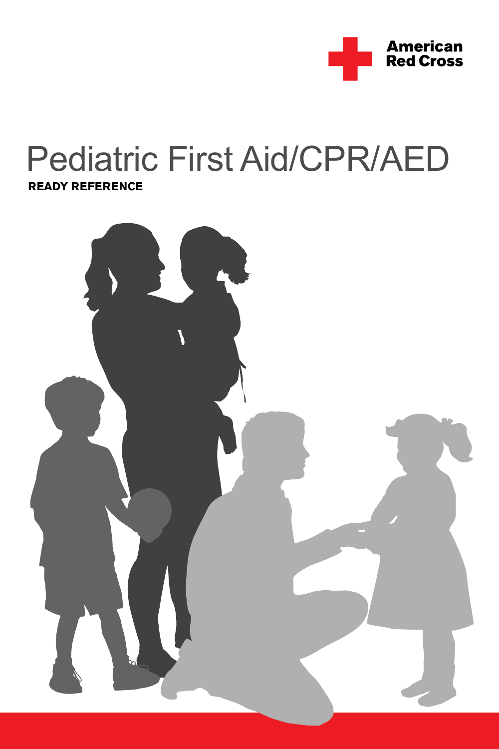

# Pediatric First Aid/CPR/AED **READY REFERENCE**

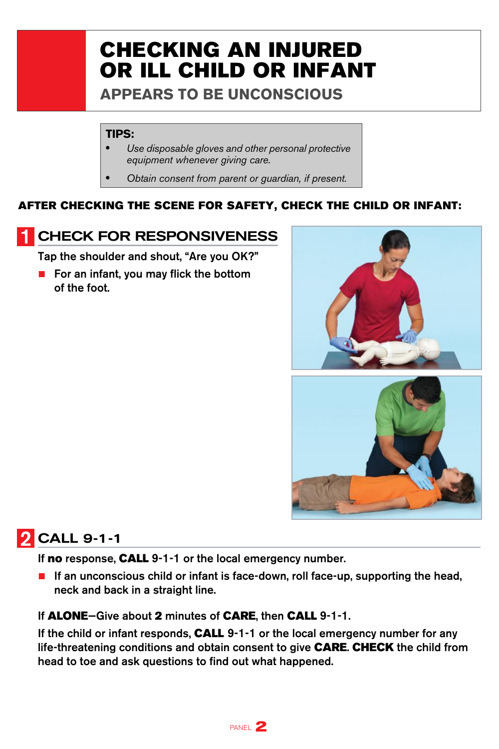# CHECKING AN INJURED OR ILL CHILD OR INFANT

**APPEARS TO BE UNCONSCIOUS**

#### **TIPS:**

- *Use disposable gloves and other personal protective equipment whenever giving care.*
- *Obtain consent from parent or guardian, if present.*

#### AFTER CHECKING THE SCENE FOR SAFETY, CHECK THE CHILD OR INFANT:

#### **CHECK FOR RESPONSIVENESS**

Tap the shoulder and shout, "Are you OK?"

■ For an infant, you may flick the bottom of the foot.





### **2** CALL 9-1-1

If no response, CALL 9-1-1 or the local emergency number.

■ If an unconscious child or infant is face-down, roll face-up, supporting the head, neck and back in a straight line.

#### If **ALONE**–Give about 2 minutes of **CARE**, then **CALL** 9-1-1.

If the child or infant responds, CALL 9-1-1 or the local emergency number for any life-threatening conditions and obtain consent to give **CARE. CHECK** the child from head to toe and ask questions to find out what happened.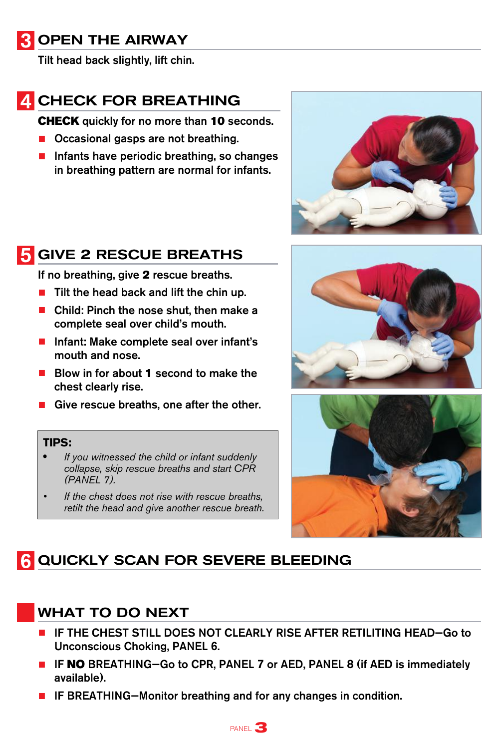#### **3 OPEN THE AIRWAY**

Tilt head back slightly, lift chin.

# **4 CHECK FOR BREATHING**

**CHECK** quickly for no more than 10 seconds.

- Occasional gasps are not breathing.
- Infants have periodic breathing, so changes in breathing pattern are normal for infants.



### **5** GIVE 2 RESCUE BREATHS

If no breathing, give 2 rescue breaths.

- Tilt the head back and lift the chin up.
- Child: Pinch the nose shut, then make a complete seal over child's mouth.
- Infant: Make complete seal over infant's mouth and nose.
- Blow in for about 1 second to make the chest clearly rise.
- Give rescue breaths, one after the other.

#### **TIPS:**

- **•** *If you witnessed the child or infant suddenly collapse, skip rescue breaths and start CPR (PANEL 7).*
- If the chest does not rise with rescue breaths, *retilt the head and give another rescue breath.*





### **6 QUICKLY SCAN FOR SEVERE BLEEDING**

#### WHAT TO DO NEXT

- IF THE CHEST STILL DOES NOT CLEARLY RISE AFTER RETILITING HEAD-Go to Unconscious Choking, PANEL 6.
- IF NO BREATHING–Go to CPR, PANEL 7 or AED, PANEL 8 (if AED is immediately available).
- IF BREATHING-Monitor breathing and for any changes in condition.

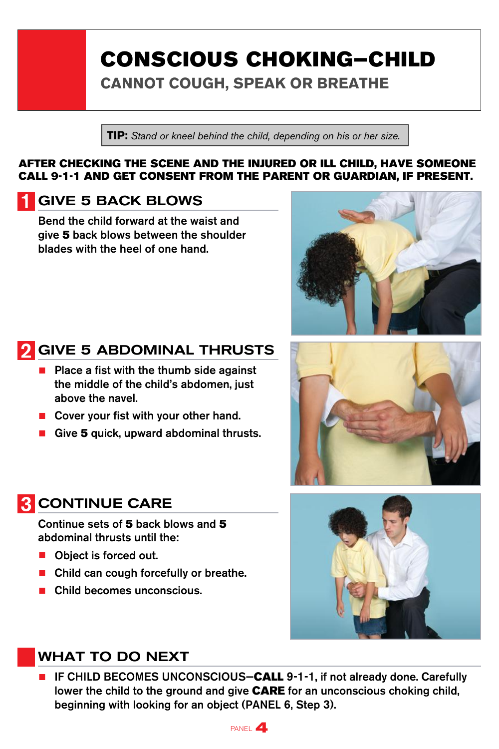# CONSCIOUS CHOKING—CHILD

**CANNOT COUGH, SPEAK OR BREATHE**

**TIP:** *Stand or kneel behind the child, depending on his or her size.*

#### AFTER CHECKING THE SCENE AND THE INJURED OR ILL CHILD, HAVE SOMEONE CALL 9-1-1 AND GET CONSENT FROM THE PARENT OR GUARDIAN, IF PRESENT.

#### GIVE 5 BACK BLOWS

Bend the child forward at the waist and give 5 back blows between the shoulder blades with the heel of one hand.

### GIVE 5 ABDOMINAL THRUSTS

- Place a fist with the thumb side against the middle of the child's abdomen, just above the navel.
- Cover your fist with your other hand.
- Give 5 quick, upward abdominal thrusts.

#### **R** CONTINUE CARE

Continue sets of 5 back blows and 5 abdominal thrusts until the:

- Object is forced out.
- Child can cough forcefully or breathe.
- Child becomes unconscious.

#### WHAT TO DO NEXT

■ IF CHILD BECOMES UNCONSCIOUS-CALL 9-1-1, if not already done. Carefully lower the child to the ground and give CARE for an unconscious choking child, beginning with looking for an object (PANEL 6, Step 3).







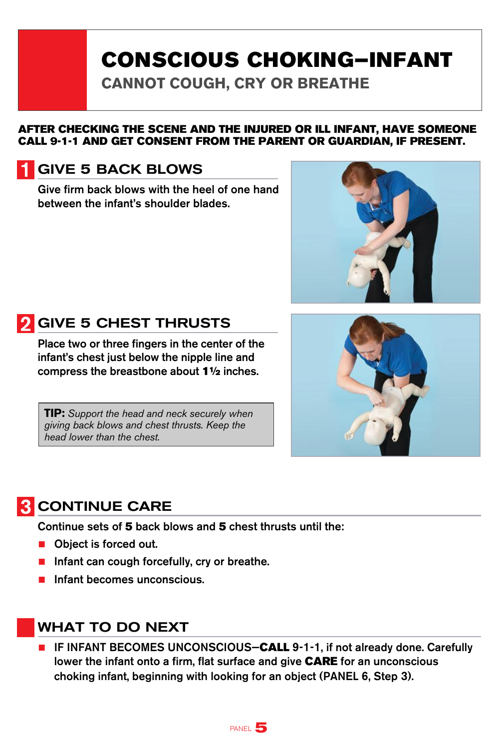# CONSCIOUS CHOKING—INFANT

**CANNOT COUGH, CRY OR BREATHE** 

#### AFTER CHECKING THE SCENE AND THE INJURED OR ILL INFANT, HAVE SOMEONE CALL 9-1-1 AND GET CONSENT FROM THE PARENT OR GUARDIAN, IF PRESENT.

#### GIVE 5 BACK BLOWS

Give firm back blows with the heel of one hand between the infant's shoulder blades.





Place two or three fingers in the center of the infant's chest just below the nipple line and compress the breastbone about 1½ inches.

**TIP:** *Support the head and neck securely when giving back blows and chest thrusts. Keep the head lower than the chest.*



#### **R** CONTINUE CARE

Continue sets of 5 back blows and 5 chest thrusts until the:

- Object is forced out.
- Infant can cough forcefully, cry or breathe.
- Infant becomes unconscious.

#### WHAT TO DO NEXT

■ IF INFANT BECOMES UNCONSCIOUS-CALL 9-1-1, if not already done. Carefully lower the infant onto a firm, flat surface and give CARE for an unconscious choking infant, beginning with looking for an object (PANEL 6, Step 3).

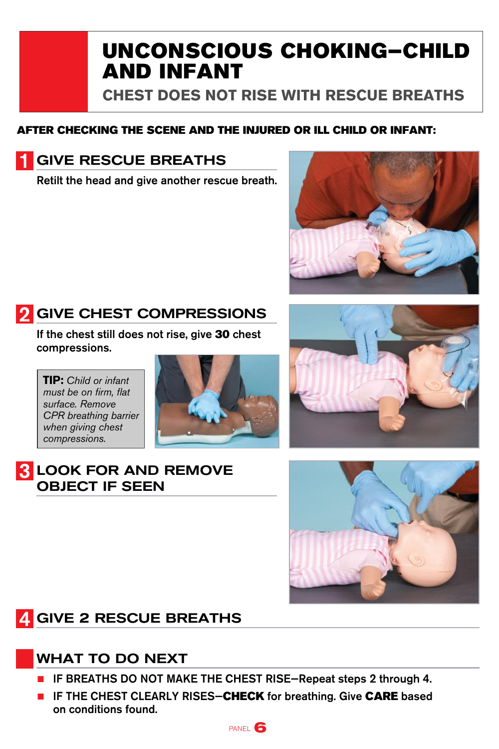# UNCONSCIOUS CHOKING—CHILD AND INFANT

**CHEST DOES NOT RISE WITH RESCUE BREATHS** 

#### AFTER CHECKING THE SCENE AND THE INJURED OR ILL CHILD OR INFANT:

### GIVE RESCUE BREATHS

Retilt the head and give another rescue breath.



### **GIVE CHEST COMPRESSIONS**

If the chest still does not rise, give 30 chest compressions.

**TIP:** *Child or infant must be on firm, flat surface. Remove CPR breathing barrier when giving chest compressions.*





#### **R** LOOK FOR AND REMOVE OBJECT IF SEEN



### **4 GIVE 2 RESCUE BREATHS**

#### WHAT TO DO NEXT

- IF BREATHS DO NOT MAKE THE CHEST RISE—Repeat steps 2 through 4.
- IF THE CHEST CLEARLY RISES-CHECK for breathing. Give CARE based on conditions found.

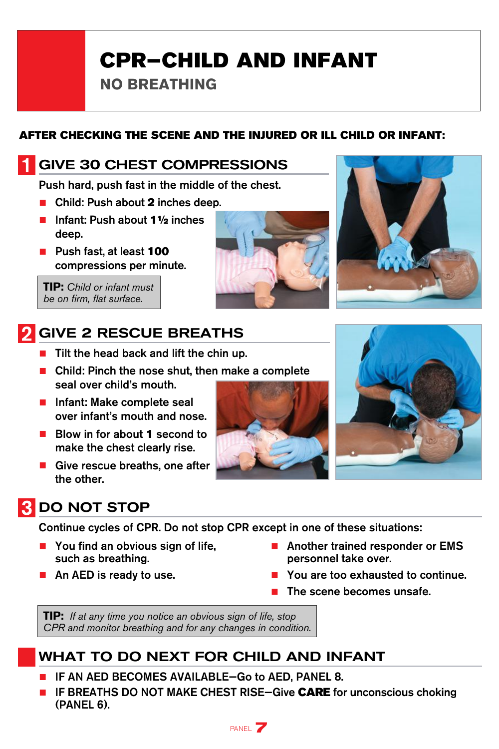# CPR—CHILD AND INFANT

**NO BREATHING** 

#### AFTER CHECKING THE SCENE AND THE INJURED OR ILL CHILD OR INFANT:

#### GIVE 30 CHEST COMPRESSIONS

Push hard, push fast in the middle of the chest.

- Child: Push about 2 inches deep.
- Infant: Push about 1½ inches deep.
- Push fast, at least 100 compressions per minute.

**TIP:** *Child or infant must be on firm, flat surface.* 

# **GIVE 2 RESCUE BREATHS**

- Tilt the head back and lift the chin up.
- Child: Pinch the nose shut, then make a complete seal over child's mouth.
- Infant: Make complete seal over infant's mouth and nose.
- Blow in for about 1 second to make the chest clearly rise.
- Give rescue breaths, one after the other.



### **3** DO NOT STOP

Continue cycles of CPR. Do not stop CPR except in one of these situations:

- You find an obvious sign of life, such as breathing.
- An AED is ready to use.
- Another trained responder or EMS personnel take over.
- You are too exhausted to continue.
- The scene becomes unsafe.

**TIP:** *If at any time you notice an obvious sign of life, stop CPR and monitor breathing and for any changes in condition.*

#### WHAT TO DO NEXT FOR CHILD AND INFANT

- IF AN AED BECOMES AVAILABLE-Go to AED, PANEL 8.
- IF BREATHS DO NOT MAKE CHEST RISE-Give CARE for unconscious choking (PANEL 6).

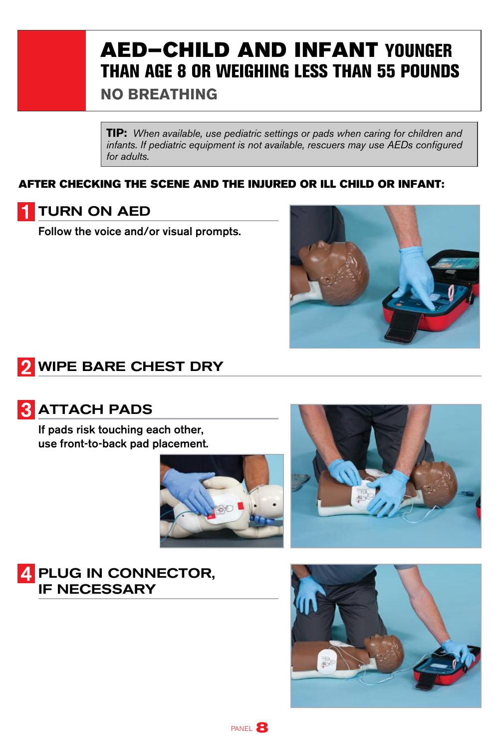# AED—CHILD AND INFANT YOUNGER THAN AGE 8 OR WEIGHING LESS THAN 55 POUNDS **NO BREATHING**

**TIP:** *When available, use pediatric settings or pads when caring for children and infants. If pediatric equipment is not available, rescuers may use AEDs configured for adults.*

#### AFTER CHECKING THE SCENE AND THE INJURED OR ILL CHILD OR INFANT:



Follow the voice and/or visual prompts.



### **2** WIPE BARE CHEST DRY



#### **3** ATTACH PADS

If pads risk touching each other, use front-to-back pad placement.





#### 4 PLUG IN CONNECTOR, IF NECESSARY



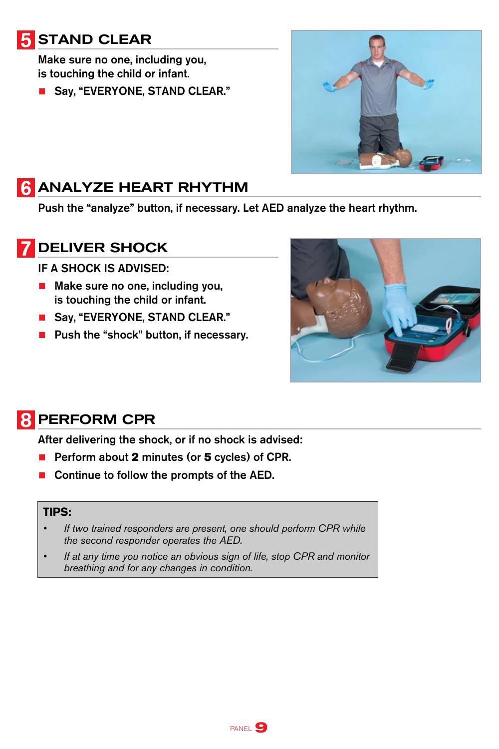## **5 STAND CLEAR**

Make sure no one, including you, is touching the child or infant.

■ Say, "EVERYONE, STAND CLEAR."



#### **6 ANALYZE HEART RHYTHM**

Push the "analyze" button, if necessary. Let AED analyze the heart rhythm.

#### DELIVER SHOCK

IF A SHOCK IS ADVISED:

- Make sure no one, including you, is touching the child or infant.
- Say, "EVERYONE, STAND CLEAR."
- Push the "shock" button, if necessary.



#### 8 PERFORM CPR

After delivering the shock, or if no shock is advised:

- Perform about 2 minutes (or 5 cycles) of CPR.
- Continue to follow the prompts of the AED.

#### **TIPS:**

- If two trained responders are present, one should perform CPR while *the second responder operates the AED.*
- If at any time you notice an obvious sign of life, stop CPR and monitor *breathing and for any changes in condition.*

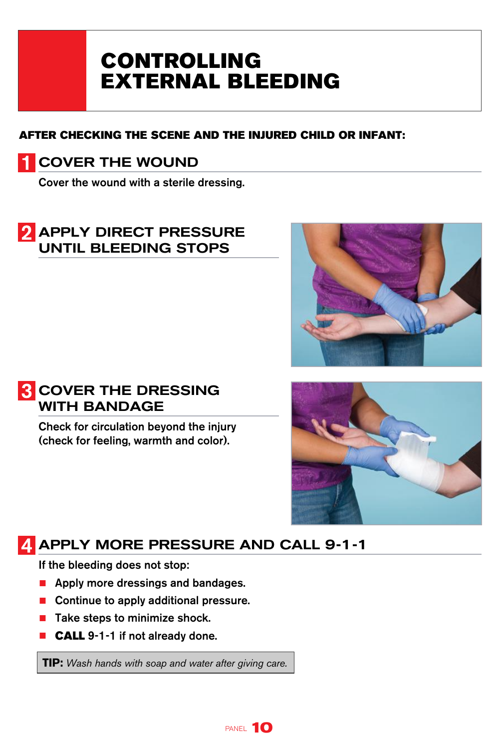# CONTROLLING EXTERNAL BLEEDING

#### AFTER CHECKING THE SCENE AND THE INJURED CHILD OR INFANT:

#### COVER THE WOUND

Cover the wound with a sterile dressing.

#### 2 APPLY DIRECT PRESSURE UNTIL BLEEDING STOPS





Check for circulation beyond the injury (check for feeling, warmth and color).



### **A APPLY MORE PRESSURE AND CALL 9-1-1**

If the bleeding does not stop:

- Apply more dressings and bandages.
- Continue to apply additional pressure.
- Take steps to minimize shock.
- **CALL** 9-1-1 if not already done.

**TIP:** *Wash hands with soap and water after giving care.*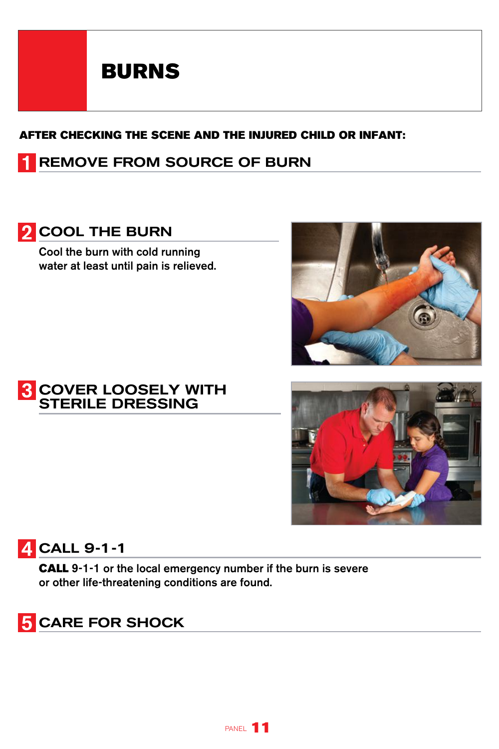# BURNS

#### AFTER CHECKING THE SCENE AND THE INJURED CHILD OR INFANT:

#### REMOVE FROM SOURCE OF BURN

#### **2** COOL THE BURN

Cool the burn with cold running water at least until pain is relieved.



#### **4 CALL 9-1-1**

CALL 9-1-1 or the local emergency number if the burn is severe or other life-threatening conditions are found.